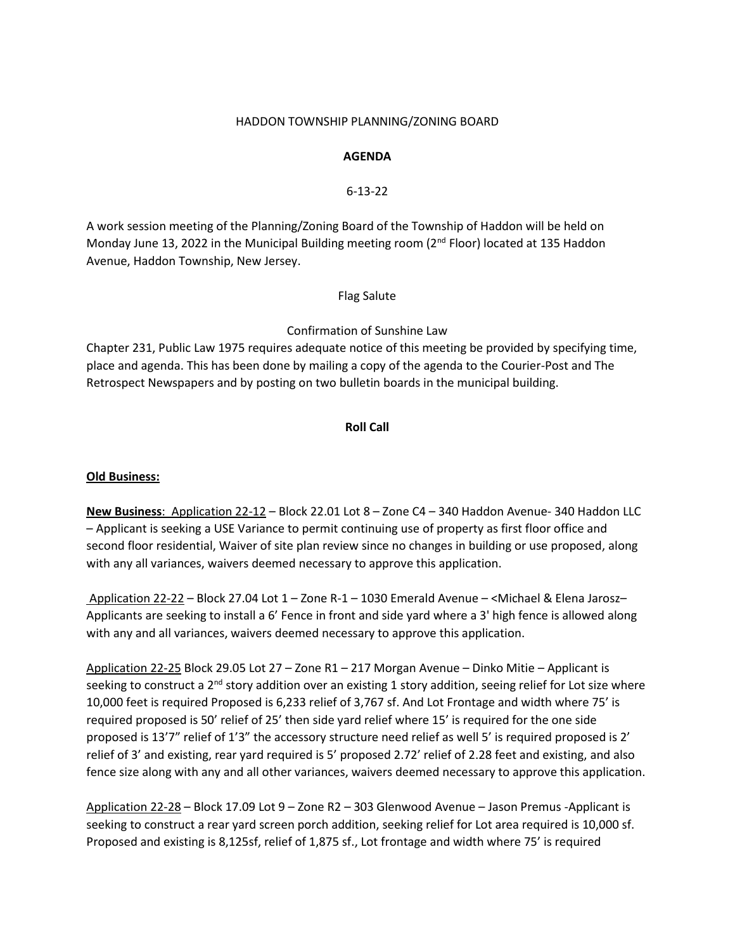#### HADDON TOWNSHIP PLANNING/ZONING BOARD

### **AGENDA**

### 6-13-22

A work session meeting of the Planning/Zoning Board of the Township of Haddon will be held on Monday June 13, 2022 in the Municipal Building meeting room (2<sup>nd</sup> Floor) located at 135 Haddon Avenue, Haddon Township, New Jersey.

Flag Salute

# Confirmation of Sunshine Law

Chapter 231, Public Law 1975 requires adequate notice of this meeting be provided by specifying time, place and agenda. This has been done by mailing a copy of the agenda to the Courier-Post and The Retrospect Newspapers and by posting on two bulletin boards in the municipal building.

## **Roll Call**

### **Old Business:**

**New Business**: Application 22-12 – Block 22.01 Lot 8 – Zone C4 – 340 Haddon Avenue- 340 Haddon LLC – Applicant is seeking a USE Variance to permit continuing use of property as first floor office and second floor residential, Waiver of site plan review since no changes in building or use proposed, along with any all variances, waivers deemed necessary to approve this application.

Application 22-22 – Block 27.04 Lot 1 – Zone R-1 – 1030 Emerald Avenue – <Michael & Elena Jarosz– Applicants are seeking to install a 6' Fence in front and side yard where a 3' high fence is allowed along with any and all variances, waivers deemed necessary to approve this application.

Application 22-25 Block 29.05 Lot 27 – Zone R1 – 217 Morgan Avenue – Dinko Mitie – Applicant is seeking to construct a 2<sup>nd</sup> story addition over an existing 1 story addition, seeing relief for Lot size where 10,000 feet is required Proposed is 6,233 relief of 3,767 sf. And Lot Frontage and width where 75' is required proposed is 50' relief of 25' then side yard relief where 15' is required for the one side proposed is 13'7" relief of 1'3" the accessory structure need relief as well 5' is required proposed is 2' relief of 3' and existing, rear yard required is 5' proposed 2.72' relief of 2.28 feet and existing, and also fence size along with any and all other variances, waivers deemed necessary to approve this application.

Application 22-28 – Block 17.09 Lot 9 – Zone R2 – 303 Glenwood Avenue – Jason Premus -Applicant is seeking to construct a rear yard screen porch addition, seeking relief for Lot area required is 10,000 sf. Proposed and existing is 8,125sf, relief of 1,875 sf., Lot frontage and width where 75' is required